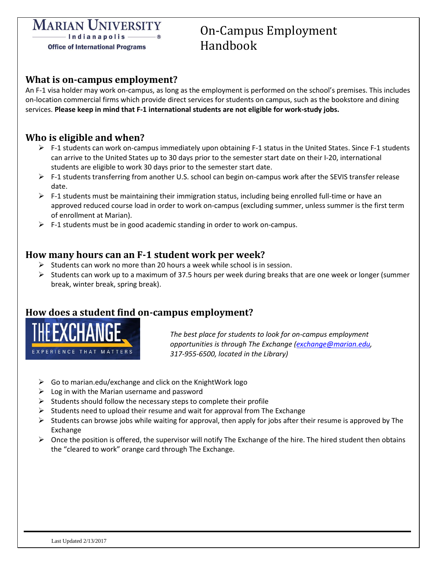## **MARIAN UNIVERSITY** - Indianapolis -**Office of International Programs**

# On-Campus Employment Handbook

## **What is on-campus employment?**

An F-1 visa holder may work on-campus, as long as the employment is performed on the school's premises. This includes on-location commercial firms which provide direct services for students on campus, such as the bookstore and dining services. **Please keep in mind that F-1 international students are not eligible for work-study jobs.**

## **Who is eligible and when?**

- $\triangleright$  F-1 students can work on-campus immediately upon obtaining F-1 status in the United States. Since F-1 students can arrive to the United States up to 30 days prior to the semester start date on their I-20, international students are eligible to work 30 days prior to the semester start date.
- $\triangleright$  F-1 students transferring from another U.S. school can begin on-campus work after the SEVIS transfer release date.
- $\triangleright$  F-1 students must be maintaining their immigration status, including being enrolled full-time or have an approved reduced course load in order to work on-campus (excluding summer, unless summer is the first term of enrollment at Marian).
- $\triangleright$  F-1 students must be in good academic standing in order to work on-campus.

## **How many hours can an F-1 student work per week?**

- $\triangleright$  Students can work no more than 20 hours a week while school is in session.
- $\triangleright$  Students can work up to a maximum of 37.5 hours per week during breaks that are one week or longer (summer break, winter break, spring break).

## **How does a student find on-campus employment?**



- $\triangleright$  Go to marian.edu/exchange and click on the KnightWork logo
- $\triangleright$  Log in with the Marian username and password
- $\triangleright$  Students should follow the necessary steps to complete their profile
- $\triangleright$  Students need to upload their resume and wait for approval from The Exchange
- $\triangleright$  Students can browse jobs while waiting for approval, then apply for jobs after their resume is approved by The Exchange
- $\triangleright$  Once the position is offered, the supervisor will notify The Exchange of the hire. The hired student then obtains the "cleared to work" orange card through The Exchange.

EXPERIENCE THAT MATTERS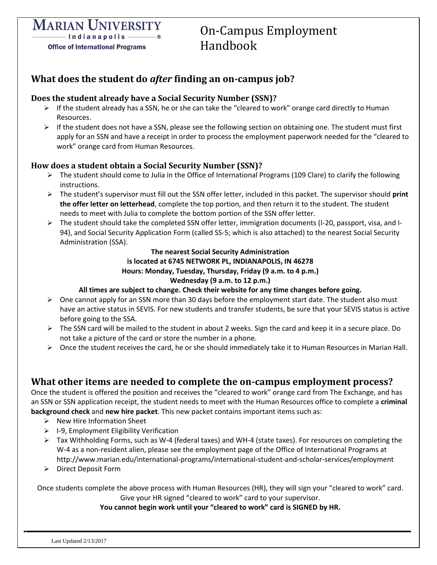# On-Campus Employment Handbook

# **What does the student do** *after* **finding an on-campus job?**

#### **Does the student already have a Social Security Number (SSN)?**

- $\triangleright$  If the student already has a SSN, he or she can take the "cleared to work" orange card directly to Human Resources.
- $\triangleright$  If the student does not have a SSN, please see the following section on obtaining one. The student must first apply for an SSN and have a receipt in order to process the employment paperwork needed for the "cleared to work" orange card from Human Resources.

#### **How does a student obtain a Social Security Number (SSN)?**

- $\triangleright$  The student should come to Julia in the Office of International Programs (109 Clare) to clarify the following instructions.
- The student's supervisor must fill out the SSN offer letter, included in this packet. The supervisor should **print the offer letter on letterhead**, complete the top portion, and then return it to the student. The student needs to meet with Julia to complete the bottom portion of the SSN offer letter.
- The student should take the completed SSN offer letter, immigration documents (I-20, passport, visa, and I-94), and Social Security Application Form (called SS-5; which is also attached) to the nearest Social Security Administration (SSA).

#### **The nearest Social Security Administration is located at 6745 NETWORK PL, INDIANAPOLIS, IN 46278 Hours: Monday, Tuesday, Thursday, Friday (9 a.m. to 4 p.m.) Wednesday (9 a.m. to 12 p.m.)**

#### **All times are subject to change. Check their website for any time changes before going.**

- $\triangleright$  One cannot apply for an SSN more than 30 days before the employment start date. The student also must have an active status in SEVIS. For new students and transfer students, be sure that your SEVIS status is active before going to the SSA.
- $\triangleright$  The SSN card will be mailed to the student in about 2 weeks. Sign the card and keep it in a secure place. Do not take a picture of the card or store the number in a phone.
- $\triangleright$  Once the student receives the card, he or she should immediately take it to Human Resources in Marian Hall.

# **What other items are needed to complete the on-campus employment process?**

Once the student is offered the position and receives the "cleared to work" orange card from The Exchange, and has an SSN or SSN application receipt, the student needs to meet with the Human Resources office to complete a **criminal background check** and **new hire packet**. This new packet contains important items such as:

- $\triangleright$  New Hire Information Sheet
- $\triangleright$  I-9, Employment Eligibility Verification
- $\triangleright$  Tax Withholding Forms, such as W-4 (federal taxes) and WH-4 (state taxes). For resources on completing the W-4 as a non-resident alien, please see the employment page of the Office of International Programs at http://www.marian.edu/international-programs/international-student-and-scholar-services/employment
- ▶ Direct Deposit Form

Once students complete the above process with Human Resources (HR), they will sign your "cleared to work" card. Give your HR signed "cleared to work" card to your supervisor.

#### **You cannot begin work until your "cleared to work" card is SIGNED by HR.**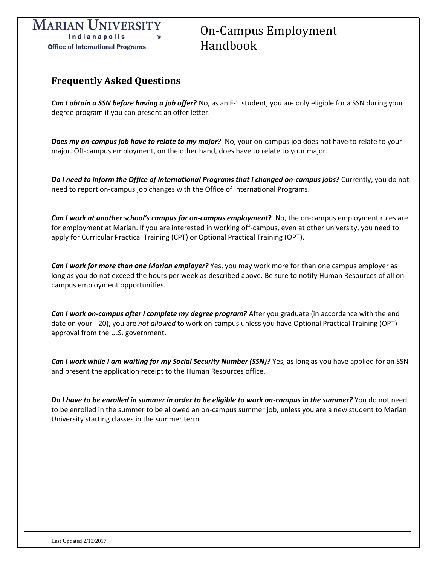

# On-Campus Employment Handbook

# **Frequently Asked Questions**

*Can I obtain a SSN before having a job offer?* No, as an F-1 student, you are only eligible for a SSN during your degree program if you can present an offer letter.

*Does my on-campus job have to relate to my major?* No, your on-campus job does not have to relate to your major. Off-campus employment, on the other hand, does have to relate to your major.

*Do I need to inform the Office of International Programs that I changed on-campus jobs?* Currently, you do not need to report on-campus job changes with the Office of International Programs.

*Can I work at another school's campus for on-campus employment***?** No, the on-campus employment rules are for employment at Marian. If you are interested in working off-campus, even at other university, you need to apply for Curricular Practical Training (CPT) or Optional Practical Training (OPT).

*Can I work for more than one Marian employer?* Yes, you may work more for than one campus employer as long as you do not exceed the hours per week as described above. Be sure to notify Human Resources of all oncampus employment opportunities.

*Can I work on-campus after I complete my degree program?* After you graduate (in accordance with the end date on your I-20), you are *not allowed* to work on-campus unless you have Optional Practical Training (OPT) approval from the U.S. government.

*Can I work while I am waiting for my Social Security Number (SSN)?* Yes, as long as you have applied for an SSN and present the application receipt to the Human Resources office.

*Do I have to be enrolled in summer in order to be eligible to work on-campus in the summer?* **You do not need** to be enrolled in the summer to be allowed an on-campus summer job, unless you are a new student to Marian University starting classes in the summer term.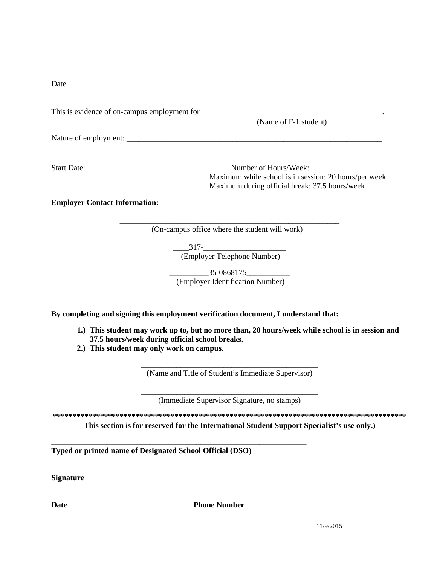Date and the set of  $\sim$ 

This is evidence of on-campus employment for \_\_\_\_\_\_\_\_\_\_\_\_\_\_\_\_\_\_\_\_\_\_\_\_\_\_\_\_\_\_\_\_\_\_\_\_\_\_\_\_\_\_\_\_\_\_.

(Name of F-1 student)

Nature of employment:

Start Date: \_\_\_\_\_\_\_\_\_\_\_\_\_\_\_\_\_\_\_\_ Number of Hours/Week: \_\_\_\_\_\_\_\_\_\_\_\_\_\_\_\_\_\_ Maximum while school is in session: 20 hours/per week Maximum during official break: 37.5 hours/week

**Employer Contact Information:** 

\_\_\_\_\_\_\_\_\_\_\_\_\_\_\_\_\_\_\_\_\_\_\_\_\_\_\_\_\_\_\_\_\_\_\_\_\_\_\_\_\_\_\_\_\_\_\_\_\_\_\_\_\_\_\_\_ (On-campus office where the student will work)

 $317-$ 

(Employer Telephone Number)

\_\_\_\_\_\_\_\_\_\_35-0868175\_\_\_\_\_\_\_\_\_\_\_ (Employer Identification Number)

**By completing and signing this employment verification document, I understand that:**

- **1.) This student may work up to, but no more than, 20 hours/week while school is in session and 37.5 hours/week during official school breaks.**
- **2.) This student may only work on campus.**

\_\_\_\_\_\_\_\_\_\_\_\_\_\_\_\_\_\_\_\_\_\_\_\_\_\_\_\_\_\_\_\_\_\_\_\_\_\_\_\_\_\_\_\_\_ (Name and Title of Student's Immediate Supervisor)

\_\_\_\_\_\_\_\_\_\_\_\_\_\_\_\_\_\_\_\_\_\_\_\_\_\_\_\_\_\_\_\_\_\_\_\_\_\_\_\_\_\_\_\_\_ (Immediate Supervisor Signature, no stamps)

**\*\*\*\*\*\*\*\*\*\*\*\*\*\*\*\*\*\*\*\*\*\*\*\*\*\*\*\*\*\*\*\*\*\*\*\*\*\*\*\*\*\*\*\*\*\*\*\*\*\*\*\*\*\*\*\*\*\*\*\*\*\*\*\*\*\*\*\*\*\*\*\*\*\*\*\*\*\*\*\*\*\*\*\*\*\*\*\*\*\***

**This section is for reserved for the International Student Support Specialist's use only.)**

**Typed or printed name of Designated School Official (DSO)**

**\_\_\_\_\_\_\_\_\_\_\_\_\_\_\_\_\_\_\_\_\_\_\_\_\_\_\_\_\_\_\_\_\_\_\_\_\_\_\_\_\_\_\_\_\_\_\_\_\_\_\_\_\_\_\_\_\_\_\_\_\_\_\_\_\_**

**\_\_\_\_\_\_\_\_\_\_\_\_\_\_\_\_\_\_\_\_\_\_\_\_\_\_\_\_\_\_\_\_\_\_\_\_\_\_\_\_\_\_\_\_\_\_\_\_\_\_\_\_\_\_\_\_\_\_\_\_\_\_\_\_\_**

**\_\_\_\_\_\_\_\_\_\_\_\_\_\_\_\_\_\_\_\_\_\_\_\_\_\_\_ \_\_\_\_\_\_\_\_\_\_\_\_\_\_\_\_\_\_\_\_\_\_\_\_\_\_\_\_**

**Signature**

**Date** Phone Number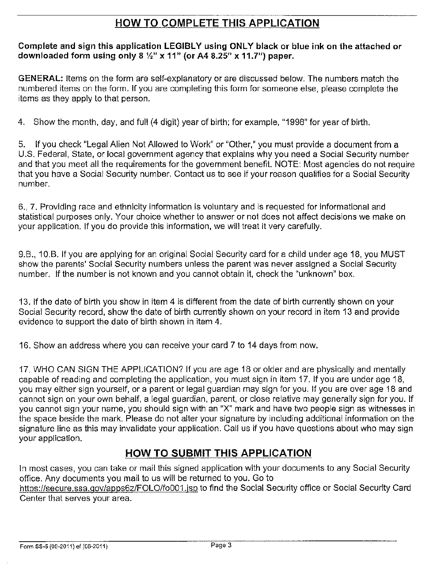# **HOW TO COMPLETE THIS APPLICATION**

Complete and sign this application LEGIBLY using ONLY black or blue ink on the attached or downloaded form using only  $8\frac{1}{2}$ " x 11" (or A4 8.25" x 11.7") paper.

GENERAL: Items on the form are self-explanatory or are discussed below. The numbers match the numbered items on the form. If you are completing this form for someone else, please complete the items as they apply to that person.

4. Show the month, day, and full (4 digit) year of birth; for example, "1998" for year of birth,

If you check "Legal Alien Not Allowed to Work" or "Other," you must provide a document from a 5. U.S. Federal, State, or local government agency that explains why you need a Social Security number and that you meet all the requirements for the government benefit. NOTE: Most agencies do not require that you have a Social Security number. Contact us to see if your reason qualifies for a Social Security number.

6., 7. Providing race and ethnicity information is voluntary and is requested for informational and statistical purposes only. Your choice whether to answer or not does not affect decisions we make on your application. If you do provide this information, we will treat it very carefully.

9.B., 10.B. If you are applying for an original Social Security card for a child under age 18, you MUST show the parents' Social Security numbers unless the parent was never assigned a Social Security number. If the number is not known and you cannot obtain it, check the "unknown" box.

13. If the date of birth you show in item 4 is different from the date of birth currently shown on your Social Security record, show the date of birth currently shown on your record in item 13 and provide evidence to support the date of birth shown in item 4.

16. Show an address where you can receive your card 7 to 14 days from now.

17. WHO CAN SIGN THE APPLICATION? If you are age 18 or older and are physically and mentally capable of reading and completing the application, you must sign in item 17. If you are under age 18, you may either sign yourself, or a parent or legal guardian may sign for you. If you are over age 18 and cannot sign on your own behalf, a legal guardian, parent, or close relative may generally sign for you. If you cannot sign your name, you should sign with an "X" mark and have two people sign as witnesses in the space beside the mark. Please do not alter your signature by including additional information on the signature line as this may invalidate your application. Call us if you have questions about who may sign your application.

# **HOW TO SUBMIT THIS APPLICATION**

In most cases, you can take or mail this signed application with your documents to any Social Security office. Any documents you mail to us will be returned to you. Go to https://secure.ssa.gov/apps6z/FOLO/fo001.jsp to find the Social Security office or Social Security Card Center that serves your area.